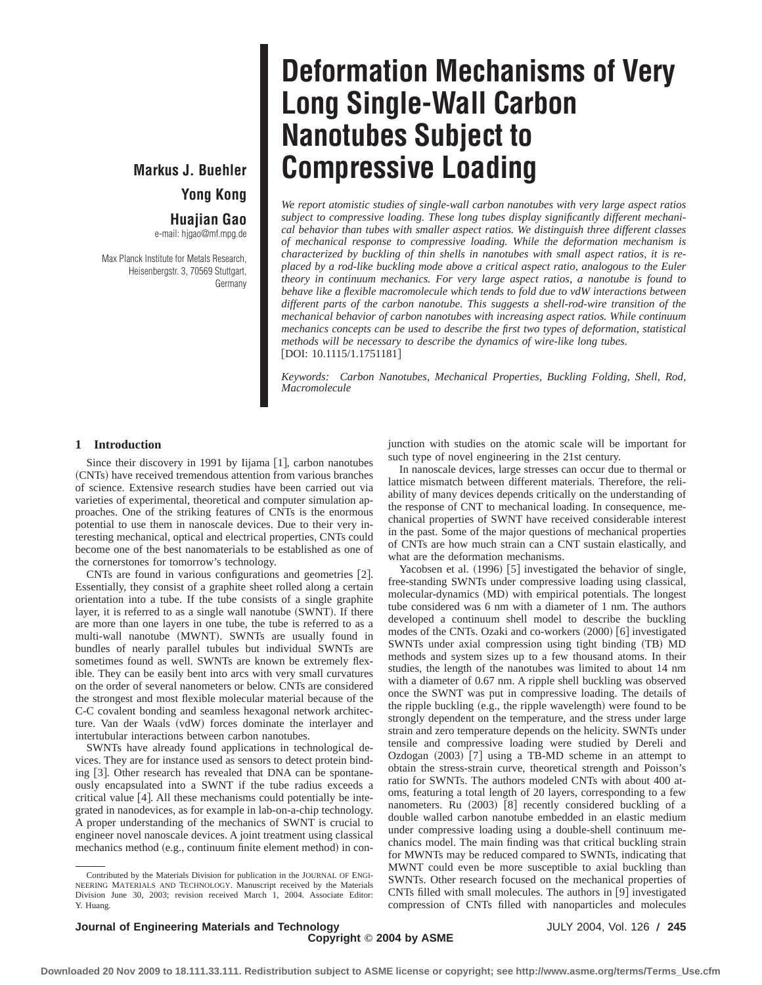**Markus J. Buehler**

**Yong Kong**

**Huajian Gao**

e-mail: hjgao@mf.mpg.de

Max Planck Institute for Metals Research, Heisenbergstr. 3, 70569 Stuttgart, Germany

# **Deformation Mechanisms of Very Long Single-Wall Carbon Nanotubes Subject to Compressive Loading**

*We report atomistic studies of single-wall carbon nanotubes with very large aspect ratios subject to compressive loading. These long tubes display significantly different mechanical behavior than tubes with smaller aspect ratios. We distinguish three different classes of mechanical response to compressive loading. While the deformation mechanism is characterized by buckling of thin shells in nanotubes with small aspect ratios, it is replaced by a rod-like buckling mode above a critical aspect ratio, analogous to the Euler theory in continuum mechanics. For very large aspect ratios, a nanotube is found to behave like a flexible macromolecule which tends to fold due to vdW interactions between different parts of the carbon nanotube. This suggests a shell-rod-wire transition of the mechanical behavior of carbon nanotubes with increasing aspect ratios. While continuum mechanics concepts can be used to describe the first two types of deformation, statistical methods will be necessary to describe the dynamics of wire-like long tubes.*  $[$ DOI: 10.1115/1.1751181 $]$ 

*Keywords: Carbon Nanotubes, Mechanical Properties, Buckling Folding, Shell, Rod, Macromolecule*

# **1 Introduction**

Since their discovery in 1991 by Iijama  $[1]$ , carbon nanotubes ~CNTs! have received tremendous attention from various branches of science. Extensive research studies have been carried out via varieties of experimental, theoretical and computer simulation approaches. One of the striking features of CNTs is the enormous potential to use them in nanoscale devices. Due to their very interesting mechanical, optical and electrical properties, CNTs could become one of the best nanomaterials to be established as one of the cornerstones for tomorrow's technology.

 $CNTs$  are found in various configurations and geometries  $[2]$ . Essentially, they consist of a graphite sheet rolled along a certain orientation into a tube. If the tube consists of a single graphite layer, it is referred to as a single wall nanotube (SWNT). If there are more than one layers in one tube, the tube is referred to as a multi-wall nanotube (MWNT). SWNTs are usually found in bundles of nearly parallel tubules but individual SWNTs are sometimes found as well. SWNTs are known be extremely flexible. They can be easily bent into arcs with very small curvatures on the order of several nanometers or below. CNTs are considered the strongest and most flexible molecular material because of the C-C covalent bonding and seamless hexagonal network architecture. Van der Waals (vdW) forces dominate the interlayer and intertubular interactions between carbon nanotubes.

SWNTs have already found applications in technological devices. They are for instance used as sensors to detect protein binding [3]. Other research has revealed that DNA can be spontaneously encapsulated into a SWNT if the tube radius exceeds a critical value  $[4]$ . All these mechanisms could potentially be integrated in nanodevices, as for example in lab-on-a-chip technology. A proper understanding of the mechanics of SWNT is crucial to engineer novel nanoscale devices. A joint treatment using classical mechanics method (e.g., continuum finite element method) in conjunction with studies on the atomic scale will be important for such type of novel engineering in the 21st century.

In nanoscale devices, large stresses can occur due to thermal or lattice mismatch between different materials. Therefore, the reliability of many devices depends critically on the understanding of the response of CNT to mechanical loading. In consequence, mechanical properties of SWNT have received considerable interest in the past. Some of the major questions of mechanical properties of CNTs are how much strain can a CNT sustain elastically, and what are the deformation mechanisms.

Yacobsen et al.  $(1996)$  [5] investigated the behavior of single, free-standing SWNTs under compressive loading using classical, molecular-dynamics (MD) with empirical potentials. The longest tube considered was 6 nm with a diameter of 1 nm. The authors developed a continuum shell model to describe the buckling modes of the CNTs. Ozaki and co-workers  $(2000)$  [6] investigated SWNTs under axial compression using tight binding (TB) MD methods and system sizes up to a few thousand atoms. In their studies, the length of the nanotubes was limited to about 14 nm with a diameter of 0.67 nm. A ripple shell buckling was observed once the SWNT was put in compressive loading. The details of the ripple buckling  $(e.g., the ripple wavelength)$  were found to be strongly dependent on the temperature, and the stress under large strain and zero temperature depends on the helicity. SWNTs under tensile and compressive loading were studied by Dereli and Ozdogan  $(2003)$  [7] using a TB-MD scheme in an attempt to obtain the stress-strain curve, theoretical strength and Poisson's ratio for SWNTs. The authors modeled CNTs with about 400 atoms, featuring a total length of 20 layers, corresponding to a few nanometers. Ru  $(2003)$   $[8]$  recently considered buckling of a double walled carbon nanotube embedded in an elastic medium under compressive loading using a double-shell continuum mechanics model. The main finding was that critical buckling strain for MWNTs may be reduced compared to SWNTs, indicating that MWNT could even be more susceptible to axial buckling than SWNTs. Other research focused on the mechanical properties of CNTs filled with small molecules. The authors in  $[9]$  investigated compression of CNTs filled with nanoparticles and molecules

**Journal of Engineering Materials and Technology Material State State State 3004, Vol. 126 / 245 Copyright © 2004 by ASME**

Contributed by the Materials Division for publication in the JOURNAL OF ENGI-NEERING MATERIALS AND TECHNOLOGY. Manuscript received by the Materials Division June 30, 2003; revision received March 1, 2004. Associate Editor: Y. Huang.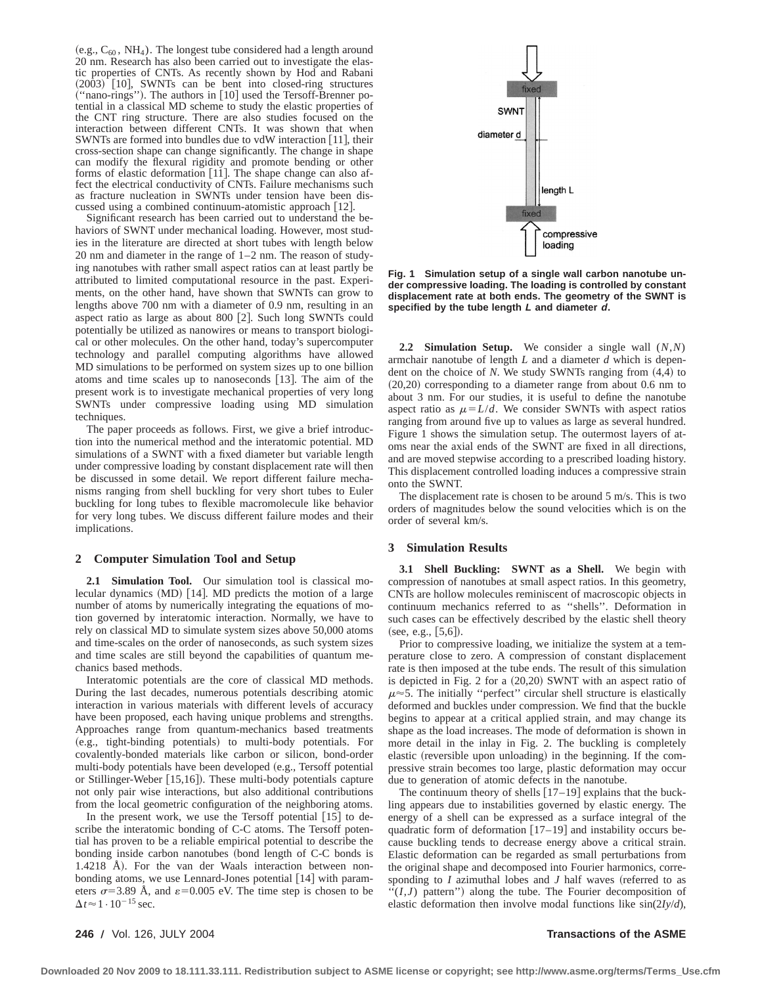(e.g.,  $C_{60}$ , NH<sub>4</sub>). The longest tube considered had a length around 20 nm. Research has also been carried out to investigate the elastic properties of CNTs. As recently shown by Hod and Rabani  $(2003)$  [10], SWNTs can be bent into closed-ring structures  $("nano-rings")$ . The authors in [10] used the Tersoff-Brenner potential in a classical MD scheme to study the elastic properties of the CNT ring structure. There are also studies focused on the interaction between different CNTs. It was shown that when SWNTs are formed into bundles due to vdW interaction  $[11]$ , their cross-section shape can change significantly. The change in shape can modify the flexural rigidity and promote bending or other forms of elastic deformation  $[11]$ . The shape change can also affect the electrical conductivity of CNTs. Failure mechanisms such as fracture nucleation in SWNTs under tension have been discussed using a combined continuum-atomistic approach  $[12]$ .

Significant research has been carried out to understand the behaviors of SWNT under mechanical loading. However, most studies in the literature are directed at short tubes with length below 20 nm and diameter in the range of 1–2 nm. The reason of studying nanotubes with rather small aspect ratios can at least partly be attributed to limited computational resource in the past. Experiments, on the other hand, have shown that SWNTs can grow to lengths above 700 nm with a diameter of 0.9 nm, resulting in an aspect ratio as large as about 800  $[2]$ . Such long SWNTs could potentially be utilized as nanowires or means to transport biological or other molecules. On the other hand, today's supercomputer technology and parallel computing algorithms have allowed MD simulations to be performed on system sizes up to one billion atoms and time scales up to nanoseconds  $[13]$ . The aim of the present work is to investigate mechanical properties of very long SWNTs under compressive loading using MD simulation techniques.

The paper proceeds as follows. First, we give a brief introduction into the numerical method and the interatomic potential. MD simulations of a SWNT with a fixed diameter but variable length under compressive loading by constant displacement rate will then be discussed in some detail. We report different failure mechanisms ranging from shell buckling for very short tubes to Euler buckling for long tubes to flexible macromolecule like behavior for very long tubes. We discuss different failure modes and their implications.

# **2 Computer Simulation Tool and Setup**

**2.1 Simulation Tool.** Our simulation tool is classical molecular dynamics  $(MD)$  [14]. MD predicts the motion of a large number of atoms by numerically integrating the equations of motion governed by interatomic interaction. Normally, we have to rely on classical MD to simulate system sizes above 50,000 atoms and time-scales on the order of nanoseconds, as such system sizes and time scales are still beyond the capabilities of quantum mechanics based methods.

Interatomic potentials are the core of classical MD methods. During the last decades, numerous potentials describing atomic interaction in various materials with different levels of accuracy have been proposed, each having unique problems and strengths. Approaches range from quantum-mechanics based treatments (e.g., tight-binding potentials) to multi-body potentials. For covalently-bonded materials like carbon or silicon, bond-order multi-body potentials have been developed (e.g., Tersoff potential or Stillinger-Weber [15,16]). These multi-body potentials capture not only pair wise interactions, but also additional contributions from the local geometric configuration of the neighboring atoms.

In the present work, we use the Tersoff potential  $[15]$  to describe the interatomic bonding of C-C atoms. The Tersoff potential has proven to be a reliable empirical potential to describe the bonding inside carbon nanotubes (bond length of C-C bonds is 1.4218 Å). For the van der Waals interaction between nonbonding atoms, we use Lennard-Jones potential  $[14]$  with parameters  $\sigma$ =3.89 Å, and  $\varepsilon$ =0.005 eV. The time step is chosen to be  $\Delta t \approx 1 \cdot 10^{-15}$  sec.



**Fig. 1 Simulation setup of a single wall carbon nanotube under compressive loading. The loading is controlled by constant displacement rate at both ends. The geometry of the SWNT is specified by the tube length L and diameter d.**

**2.2 Simulation Setup.** We consider a single wall (*N*,*N*) armchair nanotube of length *L* and a diameter *d* which is dependent on the choice of  $N$ . We study SWNTs ranging from  $(4,4)$  to  $(20,20)$  corresponding to a diameter range from about 0.6 nm to about 3 nm. For our studies, it is useful to define the nanotube aspect ratio as  $\mu = L/d$ . We consider SWNTs with aspect ratios ranging from around five up to values as large as several hundred. Figure 1 shows the simulation setup. The outermost layers of atoms near the axial ends of the SWNT are fixed in all directions, and are moved stepwise according to a prescribed loading history. This displacement controlled loading induces a compressive strain onto the SWNT.

The displacement rate is chosen to be around 5 m/s. This is two orders of magnitudes below the sound velocities which is on the order of several km/s.

# **3 Simulation Results**

**3.1 Shell Buckling: SWNT as a Shell.** We begin with compression of nanotubes at small aspect ratios. In this geometry, CNTs are hollow molecules reminiscent of macroscopic objects in continuum mechanics referred to as ''shells''. Deformation in such cases can be effectively described by the elastic shell theory  $(see, e.g., [5,6]).$ 

Prior to compressive loading, we initialize the system at a temperature close to zero. A compression of constant displacement rate is then imposed at the tube ends. The result of this simulation is depicted in Fig. 2 for a  $(20,20)$  SWNT with an aspect ratio of  $\mu \approx 5$ . The initially "perfect" circular shell structure is elastically deformed and buckles under compression. We find that the buckle begins to appear at a critical applied strain, and may change its shape as the load increases. The mode of deformation is shown in more detail in the inlay in Fig. 2. The buckling is completely elastic (reversible upon unloading) in the beginning. If the compressive strain becomes too large, plastic deformation may occur due to generation of atomic defects in the nanotube.

The continuum theory of shells  $[17–19]$  explains that the buckling appears due to instabilities governed by elastic energy. The energy of a shell can be expressed as a surface integral of the quadratic form of deformation  $[17–19]$  and instability occurs because buckling tends to decrease energy above a critical strain. Elastic deformation can be regarded as small perturbations from the original shape and decomposed into Fourier harmonics, corresponding to  $I$  azimuthal lobes and  $J$  half waves (referred to as " $(I,J)$  pattern") along the tube. The Fourier decomposition of elastic deformation then involve modal functions like sin(2*Iy*/*d*),

# **246 Õ** Vol. 126, JULY 2004 **Transactions of the ASME**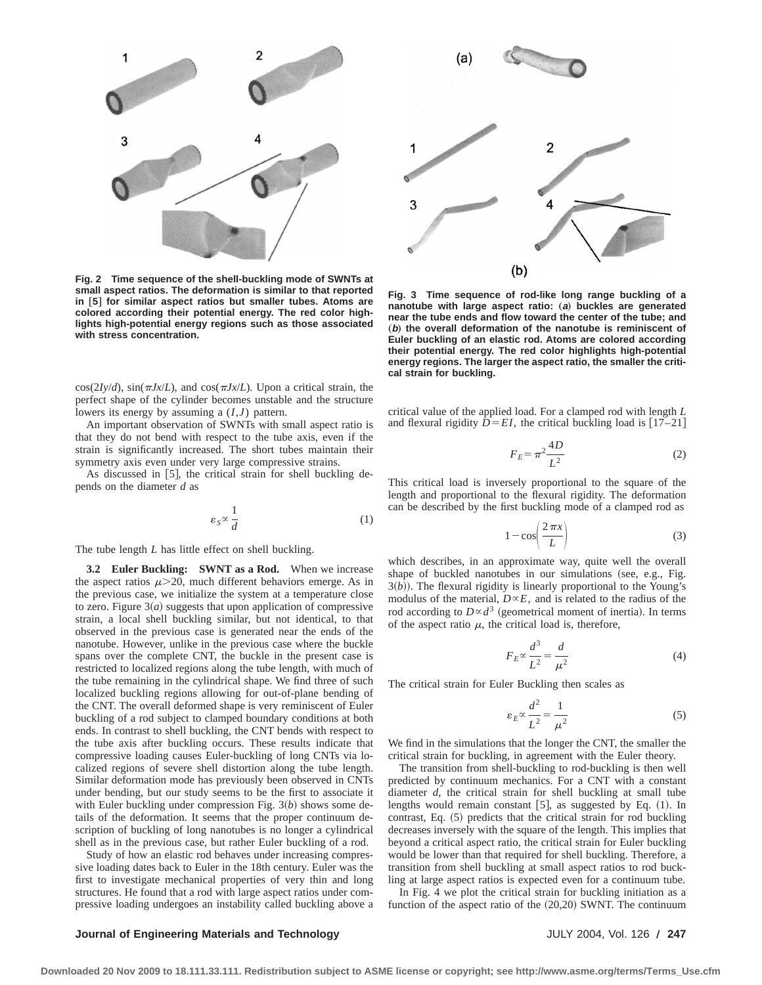

**Fig. 2 Time sequence of the shell-buckling mode of SWNTs at small aspect ratios. The deformation is similar to that reported in** †**5**‡ **for similar aspect ratios but smaller tubes. Atoms are colored according their potential energy. The red color highlights high-potential energy regions such as those associated with stress concentration.**

 $cos(2*I*y/d)$ ,  $sin(\pi Jx/L)$ , and  $cos(\pi Jx/L)$ . Upon a critical strain, the perfect shape of the cylinder becomes unstable and the structure lowers its energy by assuming a (*I*,*J*) pattern.

An important observation of SWNTs with small aspect ratio is that they do not bend with respect to the tube axis, even if the strain is significantly increased. The short tubes maintain their symmetry axis even under very large compressive strains.

As discussed in  $[5]$ , the critical strain for shell buckling depends on the diameter *d* as

$$
\varepsilon_S \propto \frac{1}{d} \tag{1}
$$

The tube length *L* has little effect on shell buckling.

**3.2 Euler Buckling: SWNT as a Rod.** When we increase the aspect ratios  $\mu$  > 20, much different behaviors emerge. As in the previous case, we initialize the system at a temperature close to zero. Figure  $3(a)$  suggests that upon application of compressive strain, a local shell buckling similar, but not identical, to that observed in the previous case is generated near the ends of the nanotube. However, unlike in the previous case where the buckle spans over the complete CNT, the buckle in the present case is restricted to localized regions along the tube length, with much of the tube remaining in the cylindrical shape. We find three of such localized buckling regions allowing for out-of-plane bending of the CNT. The overall deformed shape is very reminiscent of Euler buckling of a rod subject to clamped boundary conditions at both ends. In contrast to shell buckling, the CNT bends with respect to the tube axis after buckling occurs. These results indicate that compressive loading causes Euler-buckling of long CNTs via localized regions of severe shell distortion along the tube length. Similar deformation mode has previously been observed in CNTs under bending, but our study seems to be the first to associate it with Euler buckling under compression Fig.  $3(b)$  shows some details of the deformation. It seems that the proper continuum description of buckling of long nanotubes is no longer a cylindrical shell as in the previous case, but rather Euler buckling of a rod.

Study of how an elastic rod behaves under increasing compressive loading dates back to Euler in the 18th century. Euler was the first to investigate mechanical properties of very thin and long structures. He found that a rod with large aspect ratios under compressive loading undergoes an instability called buckling above a



**Fig. 3 Time sequence of rod-like long range buckling of a nanotube with large aspect ratio:** (a) buckles are generated **near the tube ends and flow toward the center of the tube; and** (b) the overall deformation of the nanotube is reminiscent of **Euler buckling of an elastic rod. Atoms are colored according their potential energy. The red color highlights high-potential energy regions. The larger the aspect ratio, the smaller the critical strain for buckling.**

critical value of the applied load. For a clamped rod with length *L* and flexural rigidity  $\overline{D} = EI$ , the critical buckling load is [17–21]

$$
F_E = \pi^2 \frac{4D}{L^2} \tag{2}
$$

This critical load is inversely proportional to the square of the length and proportional to the flexural rigidity. The deformation can be described by the first buckling mode of a clamped rod as

$$
1 - \cos\left(\frac{2\pi x}{L}\right) \tag{3}
$$

which describes, in an approximate way, quite well the overall shape of buckled nanotubes in our simulations (see, e.g., Fig.  $3(b)$ ). The flexural rigidity is linearly proportional to the Young's modulus of the material,  $D \propto E$ , and is related to the radius of the rod according to  $D \propto d^3$  (geometrical moment of inertia). In terms of the aspect ratio  $\mu$ , the critical load is, therefore,

$$
F_E \propto \frac{d^3}{L^2} = \frac{d}{\mu^2} \tag{4}
$$

The critical strain for Euler Buckling then scales as

$$
\varepsilon_E \propto \frac{d^2}{L^2} = \frac{1}{\mu^2} \tag{5}
$$

We find in the simulations that the longer the CNT, the smaller the critical strain for buckling, in agreement with the Euler theory.

The transition from shell-buckling to rod-buckling is then well predicted by continuum mechanics. For a CNT with a constant diameter *d*, the critical strain for shell buckling at small tube lengths would remain constant  $[5]$ , as suggested by Eq.  $(1)$ . In contrast, Eq.  $(5)$  predicts that the critical strain for rod buckling decreases inversely with the square of the length. This implies that beyond a critical aspect ratio, the critical strain for Euler buckling would be lower than that required for shell buckling. Therefore, a transition from shell buckling at small aspect ratios to rod buckling at large aspect ratios is expected even for a continuum tube.

In Fig. 4 we plot the critical strain for buckling initiation as a function of the aspect ratio of the  $(20,20)$  SWNT. The continuum

### **Journal of Engineering Materials and Technology Material State State State State State State 3 and Technology Material State State State State State State State State State State State State State State State State State**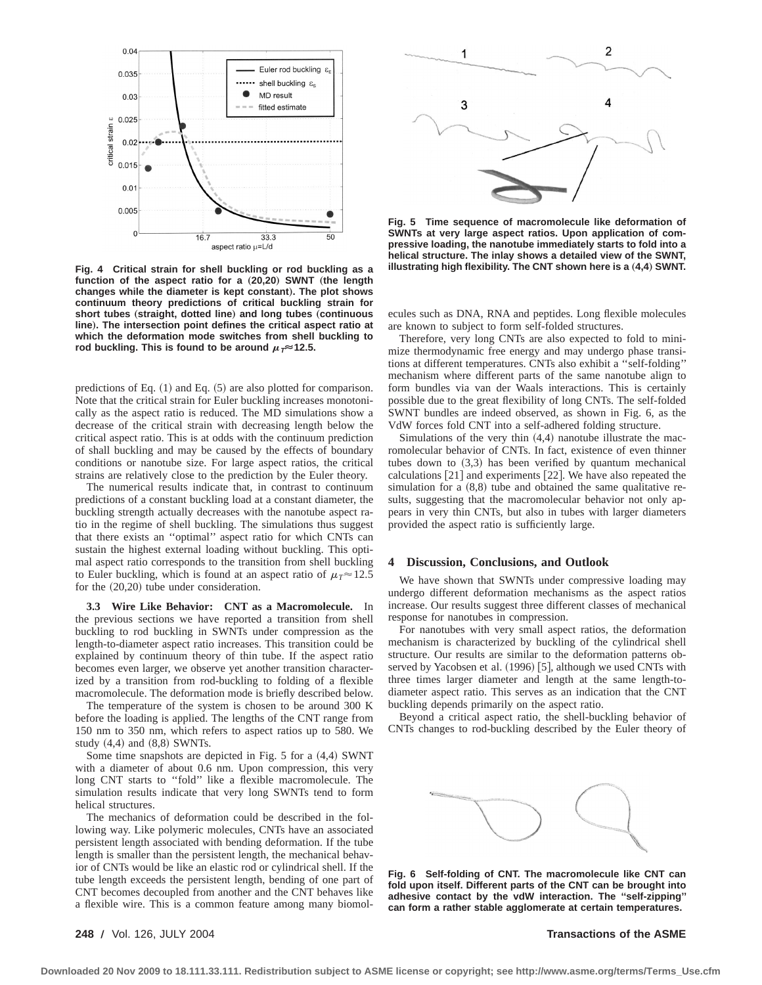

**Fig. 4 Critical strain for shell buckling or rod buckling as a** function of the aspect ratio for a  $(20, 20)$  SWNT (the length **changes while the diameter is kept constant**…**. The plot shows continuum theory predictions of critical buckling strain for short tubes** "**straight, dotted line**… **and long tubes** "**continuous line**…**. The intersection point defines the critical aspect ratio at which the deformation mode switches from shell buckling to** rod buckling. This is found to be around  $\mu$ <sub>T</sub> $\approx$ 12.5.

predictions of Eq.  $(1)$  and Eq.  $(5)$  are also plotted for comparison. Note that the critical strain for Euler buckling increases monotonically as the aspect ratio is reduced. The MD simulations show a decrease of the critical strain with decreasing length below the critical aspect ratio. This is at odds with the continuum prediction of shall buckling and may be caused by the effects of boundary conditions or nanotube size. For large aspect ratios, the critical strains are relatively close to the prediction by the Euler theory.

The numerical results indicate that, in contrast to continuum predictions of a constant buckling load at a constant diameter, the buckling strength actually decreases with the nanotube aspect ratio in the regime of shell buckling. The simulations thus suggest that there exists an ''optimal'' aspect ratio for which CNTs can sustain the highest external loading without buckling. This optimal aspect ratio corresponds to the transition from shell buckling to Euler buckling, which is found at an aspect ratio of  $\mu_T \approx 12.5$ for the  $(20,20)$  tube under consideration.

**3.3 Wire Like Behavior: CNT as a Macromolecule.** In the previous sections we have reported a transition from shell buckling to rod buckling in SWNTs under compression as the length-to-diameter aspect ratio increases. This transition could be explained by continuum theory of thin tube. If the aspect ratio becomes even larger, we observe yet another transition characterized by a transition from rod-buckling to folding of a flexible macromolecule. The deformation mode is briefly described below.

The temperature of the system is chosen to be around 300 K before the loading is applied. The lengths of the CNT range from 150 nm to 350 nm, which refers to aspect ratios up to 580. We study  $(4,4)$  and  $(8,8)$  SWNTs.

Some time snapshots are depicted in Fig.  $5$  for a  $(4,4)$  SWNT with a diameter of about 0.6 nm. Upon compression, this very long CNT starts to ''fold'' like a flexible macromolecule. The simulation results indicate that very long SWNTs tend to form helical structures.

The mechanics of deformation could be described in the following way. Like polymeric molecules, CNTs have an associated persistent length associated with bending deformation. If the tube length is smaller than the persistent length, the mechanical behavior of CNTs would be like an elastic rod or cylindrical shell. If the tube length exceeds the persistent length, bending of one part of CNT becomes decoupled from another and the CNT behaves like a flexible wire. This is a common feature among many biomol-



**Fig. 5 Time sequence of macromolecule like deformation of SWNTs at very large aspect ratios. Upon application of compressive loading, the nanotube immediately starts to fold into a helical structure. The inlay shows a detailed view of the SWNT, illustrating high flexibility. The CNT shown here is a (4,4) SWNT.** 

ecules such as DNA, RNA and peptides. Long flexible molecules are known to subject to form self-folded structures.

Therefore, very long CNTs are also expected to fold to minimize thermodynamic free energy and may undergo phase transitions at different temperatures. CNTs also exhibit a ''self-folding'' mechanism where different parts of the same nanotube align to form bundles via van der Waals interactions. This is certainly possible due to the great flexibility of long CNTs. The self-folded SWNT bundles are indeed observed, as shown in Fig. 6, as the VdW forces fold CNT into a self-adhered folding structure.

Simulations of the very thin  $(4,4)$  nanotube illustrate the macromolecular behavior of CNTs. In fact, existence of even thinner tubes down to  $(3,3)$  has been verified by quantum mechanical calculations  $\lceil 21 \rceil$  and experiments  $\lceil 22 \rceil$ . We have also repeated the simulation for a  $(8,8)$  tube and obtained the same qualitative results, suggesting that the macromolecular behavior not only appears in very thin CNTs, but also in tubes with larger diameters provided the aspect ratio is sufficiently large.

#### **4 Discussion, Conclusions, and Outlook**

We have shown that SWNTs under compressive loading may undergo different deformation mechanisms as the aspect ratios increase. Our results suggest three different classes of mechanical response for nanotubes in compression.

For nanotubes with very small aspect ratios, the deformation mechanism is characterized by buckling of the cylindrical shell structure. Our results are similar to the deformation patterns observed by Yacobsen et al.  $(1996)$  [5], although we used CNTs with three times larger diameter and length at the same length-todiameter aspect ratio. This serves as an indication that the CNT buckling depends primarily on the aspect ratio.

Beyond a critical aspect ratio, the shell-buckling behavior of CNTs changes to rod-buckling described by the Euler theory of



**Fig. 6 Self-folding of CNT. The macromolecule like CNT can fold upon itself. Different parts of the CNT can be brought into adhesive contact by the vdW interaction. The ''self-zipping'' can form a rather stable agglomerate at certain temperatures.**

**248 Õ** Vol. 126, JULY 2004 **Transactions of the ASME**